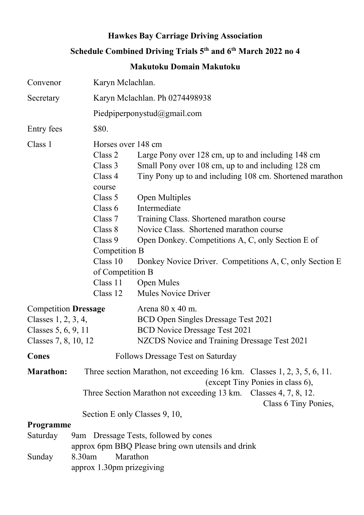## Hawkes Bay Carriage Driving Association Schedule Combined Driving Trials 5<sup>th</sup> and 6<sup>th</sup> March 2022 no 4

## Makutoku Domain Makutoku

| Convenor                                                                                            | Karyn Mclachlan.                                                                                                                                                                                                                                                                                                                                                                                                                                                                                                                                                                                 |
|-----------------------------------------------------------------------------------------------------|--------------------------------------------------------------------------------------------------------------------------------------------------------------------------------------------------------------------------------------------------------------------------------------------------------------------------------------------------------------------------------------------------------------------------------------------------------------------------------------------------------------------------------------------------------------------------------------------------|
| Secretary                                                                                           | Karyn Mclachlan. Ph 0274498938                                                                                                                                                                                                                                                                                                                                                                                                                                                                                                                                                                   |
|                                                                                                     | Piedpiperponystud@gmail.com                                                                                                                                                                                                                                                                                                                                                                                                                                                                                                                                                                      |
| Entry fees                                                                                          | \$80.                                                                                                                                                                                                                                                                                                                                                                                                                                                                                                                                                                                            |
| Class 1                                                                                             | Horses over 148 cm<br>Class 2<br>Large Pony over 128 cm, up to and including 148 cm<br>Class 3<br>Small Pony over 108 cm, up to and including 128 cm<br>Tiny Pony up to and including 108 cm. Shortened marathon<br>Class 4<br>course<br>Class 5<br><b>Open Multiples</b><br>Intermediate<br>Class $6$<br>Class 7<br>Training Class. Shortened marathon course<br>Class 8<br>Novice Class. Shortened marathon course<br>Class 9<br>Open Donkey. Competitions A, C, only Section E of<br>Competition B<br>Class 10<br>Donkey Novice Driver. Competitions A, C, only Section E<br>of Competition B |
|                                                                                                     | Class 11<br><b>Open Mules</b><br><b>Mules Novice Driver</b><br>Class 12                                                                                                                                                                                                                                                                                                                                                                                                                                                                                                                          |
| <b>Competition Dressage</b><br>Classes $1, 2, 3, 4,$<br>Classes 5, 6, 9, 11<br>Classes 7, 8, 10, 12 | Arena 80 x 40 m.<br>BCD Open Singles Dressage Test 2021<br><b>BCD Novice Dressage Test 2021</b><br>NZCDS Novice and Training Dressage Test 2021                                                                                                                                                                                                                                                                                                                                                                                                                                                  |
| Cones                                                                                               | <b>Follows Dressage Test on Saturday</b>                                                                                                                                                                                                                                                                                                                                                                                                                                                                                                                                                         |
| <b>Marathon:</b>                                                                                    | Three section Marathon, not exceeding $16 \text{ km}$ . Classes $1, 2, 3, 5, 6, 11$ .<br>(except Tiny Ponies in class 6),<br>Three Section Marathon not exceeding 13 km. Classes 4, 7, 8, 12.<br>Class 6 Tiny Ponies,                                                                                                                                                                                                                                                                                                                                                                            |
|                                                                                                     | Section E only Classes 9, 10,                                                                                                                                                                                                                                                                                                                                                                                                                                                                                                                                                                    |
| Programme                                                                                           |                                                                                                                                                                                                                                                                                                                                                                                                                                                                                                                                                                                                  |
| Saturday                                                                                            | 9am Dressage Tests, followed by cones<br>approx 6pm BBQ Please bring own utensils and drink                                                                                                                                                                                                                                                                                                                                                                                                                                                                                                      |
| Sunday                                                                                              | Marathon<br>8.30am<br>approx 1.30pm prizegiving                                                                                                                                                                                                                                                                                                                                                                                                                                                                                                                                                  |